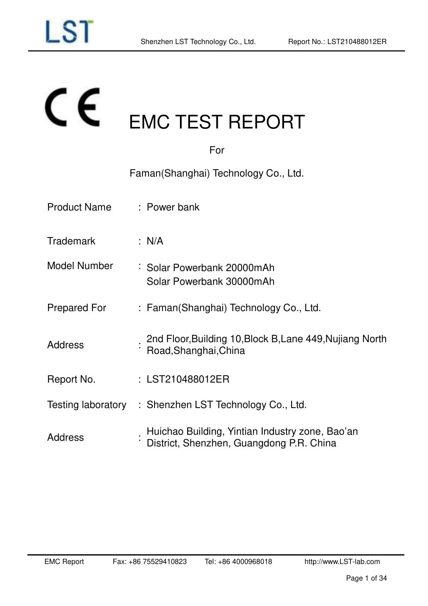# $\epsilon$ EMC TEST REPORT

| For                 |                                                                                             |  |  |  |  |  |
|---------------------|---------------------------------------------------------------------------------------------|--|--|--|--|--|
|                     | Faman (Shanghai) Technology Co., Ltd.                                                       |  |  |  |  |  |
| <b>Product Name</b> | : Power bank                                                                                |  |  |  |  |  |
| <b>Trademark</b>    | : N/A                                                                                       |  |  |  |  |  |
| <b>Model Number</b> | : Solar Powerbank 20000mAh<br>Solar Powerbank 30000mAh                                      |  |  |  |  |  |
| Prepared For        | : Faman(Shanghai) Technology Co., Ltd.                                                      |  |  |  |  |  |
| <b>Address</b>      | 2nd Floor, Building 10, Block B, Lane 449, Nujiang North<br>Road, Shanghai, China           |  |  |  |  |  |
| Report No.          | : LST210488012ER                                                                            |  |  |  |  |  |
|                     | Testing laboratory : Shenzhen LST Technology Co., Ltd.                                      |  |  |  |  |  |
| <b>Address</b>      | Huichao Building, Yintian Industry zone, Bao'an<br>District, Shenzhen, Guangdong P.R. China |  |  |  |  |  |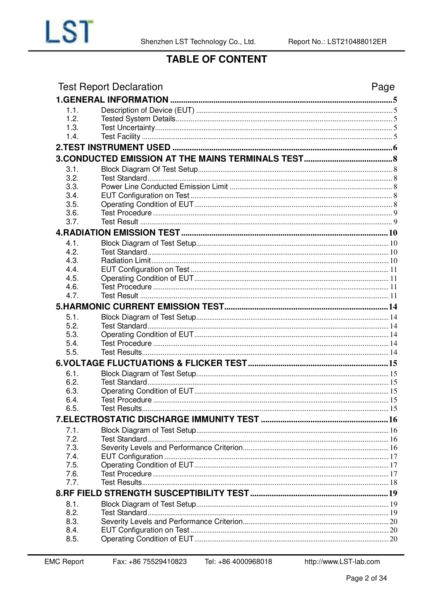

# **TABLE OF CONTENT**

| 1.1.<br>1.2.<br>1.3.<br>1.4.<br>3.1.<br>3.2.<br>3.3.<br>3.4.<br>3.5.<br>3.6.<br>3.7.<br>4.1.<br>4.2.<br>4.3.<br>4.4.<br>4.5.<br>4.6.<br>4.7.<br>5.1.<br>5.2.<br>5.3.<br>5.4.<br>5.5.<br>6.1.<br>6.2.<br>6.3.<br>6.4.<br>6.5.<br>7.1.<br>7.2.<br>7.3.<br>7.4.<br>7.5.<br>7.6.<br>7.7.<br>8.1.<br>8.2.<br>8.3.<br>8.4.<br>8.5. | <b>Test Report Declaration</b> | Page |
|------------------------------------------------------------------------------------------------------------------------------------------------------------------------------------------------------------------------------------------------------------------------------------------------------------------------------|--------------------------------|------|
|                                                                                                                                                                                                                                                                                                                              |                                |      |
|                                                                                                                                                                                                                                                                                                                              |                                |      |
|                                                                                                                                                                                                                                                                                                                              |                                |      |
|                                                                                                                                                                                                                                                                                                                              |                                |      |
|                                                                                                                                                                                                                                                                                                                              |                                |      |
|                                                                                                                                                                                                                                                                                                                              |                                |      |
|                                                                                                                                                                                                                                                                                                                              |                                |      |
|                                                                                                                                                                                                                                                                                                                              |                                |      |
|                                                                                                                                                                                                                                                                                                                              |                                |      |
|                                                                                                                                                                                                                                                                                                                              |                                |      |
|                                                                                                                                                                                                                                                                                                                              |                                |      |
|                                                                                                                                                                                                                                                                                                                              |                                |      |
|                                                                                                                                                                                                                                                                                                                              |                                |      |
|                                                                                                                                                                                                                                                                                                                              |                                |      |
|                                                                                                                                                                                                                                                                                                                              |                                |      |
|                                                                                                                                                                                                                                                                                                                              |                                |      |
|                                                                                                                                                                                                                                                                                                                              |                                |      |
|                                                                                                                                                                                                                                                                                                                              |                                |      |
|                                                                                                                                                                                                                                                                                                                              |                                |      |
|                                                                                                                                                                                                                                                                                                                              |                                |      |
|                                                                                                                                                                                                                                                                                                                              |                                |      |
|                                                                                                                                                                                                                                                                                                                              |                                |      |
|                                                                                                                                                                                                                                                                                                                              |                                |      |
|                                                                                                                                                                                                                                                                                                                              |                                |      |
|                                                                                                                                                                                                                                                                                                                              |                                |      |
|                                                                                                                                                                                                                                                                                                                              |                                |      |
|                                                                                                                                                                                                                                                                                                                              |                                |      |
|                                                                                                                                                                                                                                                                                                                              |                                |      |
|                                                                                                                                                                                                                                                                                                                              |                                |      |
|                                                                                                                                                                                                                                                                                                                              |                                |      |
|                                                                                                                                                                                                                                                                                                                              |                                |      |
|                                                                                                                                                                                                                                                                                                                              |                                |      |
|                                                                                                                                                                                                                                                                                                                              |                                |      |
|                                                                                                                                                                                                                                                                                                                              |                                |      |
|                                                                                                                                                                                                                                                                                                                              |                                |      |
|                                                                                                                                                                                                                                                                                                                              |                                |      |
|                                                                                                                                                                                                                                                                                                                              |                                |      |
|                                                                                                                                                                                                                                                                                                                              |                                |      |
|                                                                                                                                                                                                                                                                                                                              |                                |      |
|                                                                                                                                                                                                                                                                                                                              |                                |      |
|                                                                                                                                                                                                                                                                                                                              |                                |      |
|                                                                                                                                                                                                                                                                                                                              |                                |      |
|                                                                                                                                                                                                                                                                                                                              |                                |      |
|                                                                                                                                                                                                                                                                                                                              |                                |      |
|                                                                                                                                                                                                                                                                                                                              |                                |      |
|                                                                                                                                                                                                                                                                                                                              |                                |      |
|                                                                                                                                                                                                                                                                                                                              |                                |      |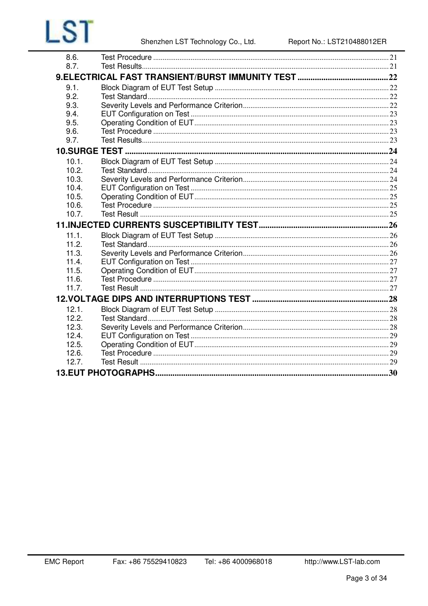| 8.6.  |  |
|-------|--|
| 8.7.  |  |
|       |  |
| 9.1.  |  |
| 9.2.  |  |
| 9.3.  |  |
| 9.4.  |  |
| 9.5.  |  |
| 9.6.  |  |
| 9.7.  |  |
|       |  |
| 10.1. |  |
| 10.2. |  |
| 10.3. |  |
| 10.4. |  |
| 10.5. |  |
| 10.6. |  |
| 10.7. |  |
|       |  |
|       |  |
| 11.1. |  |
| 11.2. |  |
| 11.3. |  |
| 11.4. |  |
| 11.5. |  |
| 11.6. |  |
| 11.7. |  |
|       |  |
| 12.1. |  |
| 12.2. |  |
| 12.3. |  |
| 12.4. |  |
| 12.5. |  |
| 12.6. |  |
| 12.7. |  |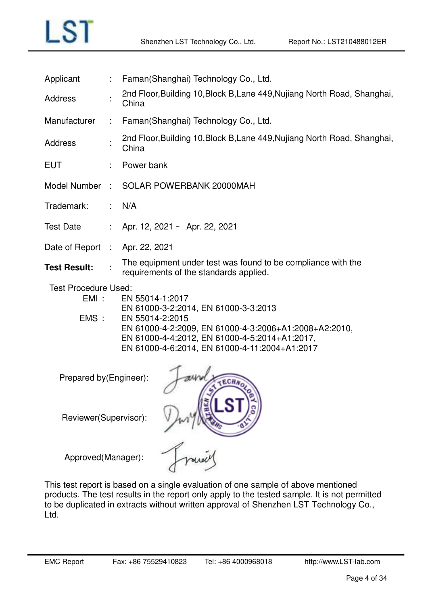| Applicant                              |      | Faman(Shanghai) Technology Co., Ltd.                                                                                                                                       |  |  |  |  |  |  |
|----------------------------------------|------|----------------------------------------------------------------------------------------------------------------------------------------------------------------------------|--|--|--|--|--|--|
| <b>Address</b>                         |      | 2nd Floor, Building 10, Block B, Lane 449, Nujiang North Road, Shanghai,<br>China                                                                                          |  |  |  |  |  |  |
| Manufacturer                           | ÷.   | Faman(Shanghai) Technology Co., Ltd.                                                                                                                                       |  |  |  |  |  |  |
| <b>Address</b>                         |      | 2nd Floor, Building 10, Block B, Lane 449, Nujiang North Road, Shanghai,<br>China                                                                                          |  |  |  |  |  |  |
| <b>EUT</b>                             |      | Power bank                                                                                                                                                                 |  |  |  |  |  |  |
| Model Number                           | - 11 | SOLAR POWERBANK 20000MAH                                                                                                                                                   |  |  |  |  |  |  |
| Trademark:                             |      | N/A                                                                                                                                                                        |  |  |  |  |  |  |
| <b>Test Date</b>                       |      | Apr. 12, 2021 - Apr. 22, 2021                                                                                                                                              |  |  |  |  |  |  |
| Date of Report : Apr. 22, 2021         |      |                                                                                                                                                                            |  |  |  |  |  |  |
| <b>Test Result:</b>                    |      | The equipment under test was found to be compliance with the<br>requirements of the standards applied.                                                                     |  |  |  |  |  |  |
| <b>Test Procedure Used:</b><br>$EMI$ : |      | EN 55014-1:2017                                                                                                                                                            |  |  |  |  |  |  |
|                                        |      | EN 61000-3-2:2014, EN 61000-3-3:2013                                                                                                                                       |  |  |  |  |  |  |
| EMS:                                   |      | EN 55014-2:2015<br>EN 61000-4-2:2009, EN 61000-4-3:2006+A1:2008+A2:2010,<br>EN 61000-4-4:2012, EN 61000-4-5:2014+A1:2017,<br>EN 61000-4-6:2014, EN 61000-4-11:2004+A1:2017 |  |  |  |  |  |  |
| Prepared by(Engineer):                 |      | TECHNOLO                                                                                                                                                                   |  |  |  |  |  |  |
| Reviewer(Supervisor):                  |      |                                                                                                                                                                            |  |  |  |  |  |  |
| Approved(Manager):                     |      |                                                                                                                                                                            |  |  |  |  |  |  |

This test report is based on a single evaluation of one sample of above mentioned products. The test results in the report only apply to the tested sample. It is not permitted to be duplicated in extracts without written approval of Shenzhen LST Technology Co., Ltd.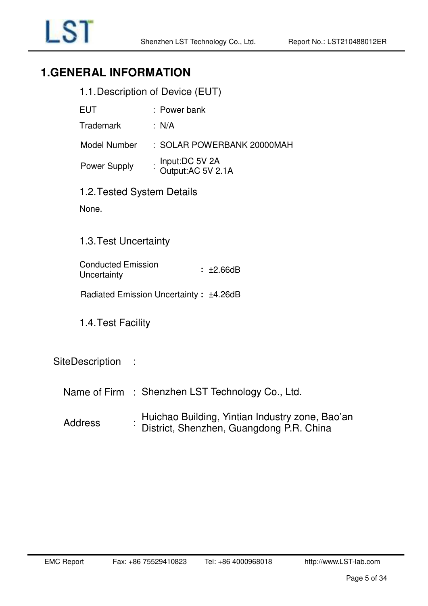# <span id="page-4-1"></span><span id="page-4-0"></span>**1.GENERAL INFORMATION**

| 1.1. Description of Device (EUT) |  |
|----------------------------------|--|
|----------------------------------|--|

| EUT                 | : Power bank                        |
|---------------------|-------------------------------------|
| Trademark           | : N/A                               |
| Model Number        | : SOLAR POWERBANK 20000MAH          |
| <b>Power Supply</b> | Input:DC 5V 2A<br>Output:AC 5V 2.1A |

<span id="page-4-2"></span>1.2. Tested System Details

None.

### <span id="page-4-3"></span>1.3. Test Uncertainty

Conducted Emission Uncertainty **:** ±2.66dB

Radiated Emission Uncertainty **:** ±4.26dB

<span id="page-4-4"></span>1.4. Test Facility

### SiteDescription :

- Name of Firm : Shenzhen LST Technology Co., Ltd.
- **Address** Huichao Building, Yintian Industry zone, Bao'an District, Shenzhen, Guangdong P.R. China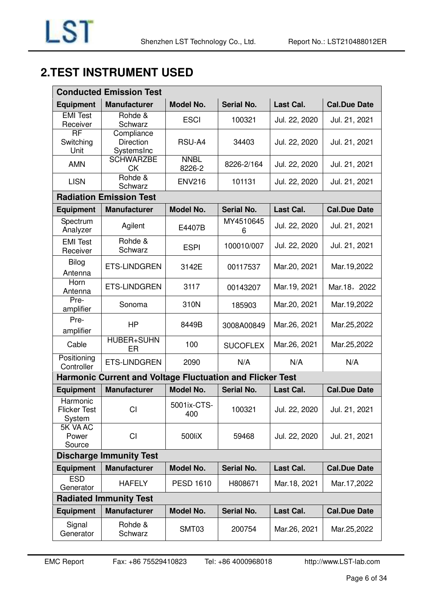# <span id="page-5-0"></span>**2.TEST INSTRUMENT USED**

| <b>Conducted Emission Test</b>            |                                                                  |                       |                   |               |                     |  |  |  |
|-------------------------------------------|------------------------------------------------------------------|-----------------------|-------------------|---------------|---------------------|--|--|--|
| <b>Equipment</b>                          | <b>Manufacturer</b>                                              | <b>Model No.</b>      | <b>Serial No.</b> | Last Cal.     | <b>Cal.Due Date</b> |  |  |  |
| <b>EMI Test</b><br>Receiver               | Rohde &<br>Schwarz                                               | <b>ESCI</b>           | 100321            | Jul. 22, 2020 | Jul. 21, 2021       |  |  |  |
| $\overline{RF}$<br>Switching<br>Unit      | Compliance<br><b>Direction</b><br>SystemsInc                     | RSU-A4                | 34403             | Jul. 22, 2020 | Jul. 21, 2021       |  |  |  |
| <b>AMN</b>                                | <b>SCHWARZBE</b><br><b>CK</b>                                    | <b>NNBL</b><br>8226-2 | 8226-2/164        | Jul. 22, 2020 | Jul. 21, 2021       |  |  |  |
| <b>LISN</b>                               | Rohde &<br>Schwarz                                               | <b>ENV216</b>         | 101131            | Jul. 22, 2020 | Jul. 21, 2021       |  |  |  |
|                                           | <b>Radiation Emission Test</b>                                   |                       |                   |               |                     |  |  |  |
| <b>Equipment</b>                          | <b>Manufacturer</b>                                              | <b>Model No.</b>      | <b>Serial No.</b> | Last Cal.     | <b>Cal.Due Date</b> |  |  |  |
| Spectrum<br>Analyzer                      | Agilent                                                          | E4407B                | MY4510645<br>6    | Jul. 22, 2020 | Jul. 21, 2021       |  |  |  |
| <b>EMI</b> Test<br>Receiver               | Rohde &<br>Schwarz                                               | <b>ESPI</b>           | 100010/007        | Jul. 22, 2020 | Jul. 21, 2021       |  |  |  |
| Bilog<br>Antenna                          | <b>ETS-LINDGREN</b>                                              | 3142E                 | 00117537          | Mar.20, 2021  | Mar. 19, 2022       |  |  |  |
| Horn<br>Antenna                           | <b>ETS-LINDGREN</b>                                              | 3117                  | 00143207          | Mar. 19, 2021 | Mar.18, 2022        |  |  |  |
| Pre-<br>amplifier                         | Sonoma                                                           | 310N                  | 185903            | Mar.20, 2021  | Mar. 19, 2022       |  |  |  |
| Pre-<br>amplifier                         | <b>HP</b>                                                        | 8449B                 | 3008A00849        | Mar.26, 2021  | Mar.25,2022         |  |  |  |
| Cable                                     | <b>HUBER+SUHN</b><br>ER                                          | 100                   | <b>SUCOFLEX</b>   | Mar.26, 2021  | Mar.25,2022         |  |  |  |
| Positioning<br>Controller                 | <b>ETS-LINDGREN</b>                                              | 2090                  | N/A<br>N/A        |               | N/A                 |  |  |  |
|                                           | <b>Harmonic Current and Voltage Fluctuation and Flicker Test</b> |                       |                   |               |                     |  |  |  |
| <b>Equipment</b>                          | <b>Manufacturer</b>                                              | <b>Model No.</b>      | <b>Serial No.</b> | Last Cal.     | <b>Cal.Due Date</b> |  |  |  |
| Harmonic<br><b>Flicker Test</b><br>System | <b>CI</b>                                                        | 5001ix-CTS-<br>400    | 100321            | Jul. 22, 2020 | Jul. 21, 2021       |  |  |  |
| 5K VA AC<br>Power<br>Source               | CI                                                               | 500liX                | 59468             | Jul. 22, 2020 | Jul. 21, 2021       |  |  |  |
|                                           | <b>Discharge Immunity Test</b>                                   |                       |                   |               |                     |  |  |  |
| <b>Equipment</b>                          | <b>Manufacturer</b>                                              | Model No.             | <b>Serial No.</b> | Last Cal.     | <b>Cal.Due Date</b> |  |  |  |
| <b>ESD</b><br>Generator                   | <b>HAFELY</b>                                                    | <b>PESD 1610</b>      | H808671           | Mar. 18, 2021 | Mar.17,2022         |  |  |  |
|                                           | <b>Radiated Immunity Test</b>                                    |                       |                   |               |                     |  |  |  |
| <b>Equipment</b>                          | <b>Manufacturer</b>                                              | <b>Model No.</b>      | Serial No.        | Last Cal.     | <b>Cal.Due Date</b> |  |  |  |
| Signal<br>Generator                       | Rohde &<br>Schwarz                                               | SMT03                 | 200754            | Mar.26, 2021  | Mar.25,2022         |  |  |  |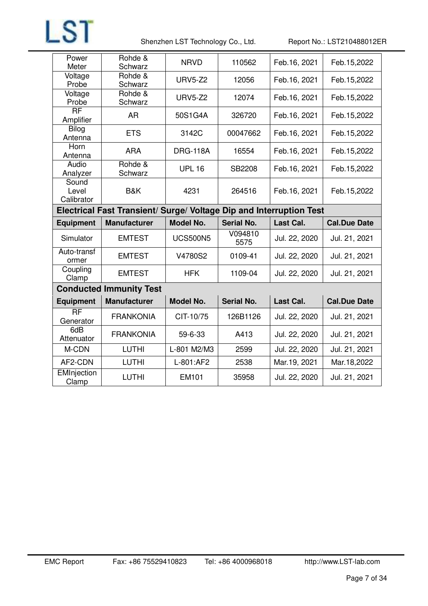

Shenzhen LST Technology Co., Ltd. Report No.: LST210488012ER

| Power<br>Meter               | Rohde &<br>Schwarz                                                  | <b>NRVD</b>      | 110562            | Feb.16, 2021  | Feb.15,2022         |
|------------------------------|---------------------------------------------------------------------|------------------|-------------------|---------------|---------------------|
| Voltage<br>Probe             | Rohde &<br>Schwarz                                                  | <b>URV5-Z2</b>   | 12056             | Feb.16, 2021  | Feb.15,2022         |
| Voltage<br>Probe             | Rohde &<br>Schwarz                                                  | <b>URV5-Z2</b>   | 12074             | Feb.16, 2021  | Feb.15,2022         |
| <b>RF</b><br>Amplifier       | AR                                                                  | 50S1G4A          | 326720            | Feb.16, 2021  | Feb. 15, 2022       |
| <b>Bilog</b><br>Antenna      | <b>ETS</b>                                                          | 3142C            | 00047662          | Feb.16, 2021  | Feb. 15, 2022       |
| Horn<br>Antenna              | <b>ARA</b>                                                          | <b>DRG-118A</b>  | 16554             | Feb.16, 2021  | Feb. 15, 2022       |
| Audio<br>Analyzer            | Rohde &<br>Schwarz                                                  | <b>UPL 16</b>    | SB2208            | Feb.16, 2021  | Feb.15,2022         |
| Sound<br>Level<br>Calibrator | B&K                                                                 | 4231             | 264516            | Feb.16, 2021  | Feb.15,2022         |
|                              | Electrical Fast Transient/ Surge/ Voltage Dip and Interruption Test |                  |                   |               |                     |
|                              |                                                                     |                  |                   |               |                     |
| <b>Equipment</b>             | <b>Manufacturer</b>                                                 | <b>Model No.</b> | <b>Serial No.</b> | Last Cal.     | <b>Cal.Due Date</b> |
| Simulator                    | <b>EMTEST</b>                                                       | <b>UCS500N5</b>  | V094810<br>5575   | Jul. 22, 2020 | Jul. 21, 2021       |
| Auto-transf<br>ormer         | <b>EMTEST</b>                                                       | V4780S2          | 0109-41           | Jul. 22, 2020 | Jul. 21, 2021       |
| Coupling<br>Clamp            | <b>EMTEST</b>                                                       | <b>HFK</b>       | 1109-04           | Jul. 22, 2020 | Jul. 21, 2021       |
|                              | <b>Conducted Immunity Test</b>                                      |                  |                   |               |                     |
| <b>Equipment</b>             | <b>Manufacturer</b>                                                 | <b>Model No.</b> | <b>Serial No.</b> | Last Cal.     | <b>Cal.Due Date</b> |
| <b>RF</b><br>Generator       | <b>FRANKONIA</b>                                                    | CIT-10/75        | 126B1126          | Jul. 22, 2020 | Jul. 21, 2021       |
| 6dB<br>Attenuator            | <b>FRANKONIA</b>                                                    | 59-6-33          | A413              | Jul. 22, 2020 | Jul. 21, 2021       |
| M-CDN                        | <b>LUTHI</b>                                                        | L-801 M2/M3      | 2599              | Jul. 22, 2020 | Jul. 21, 2021       |
| AF2-CDN                      | <b>LUTHI</b>                                                        | L-801:AF2        | 2538              | Mar.19, 2021  | Mar. 18, 2022       |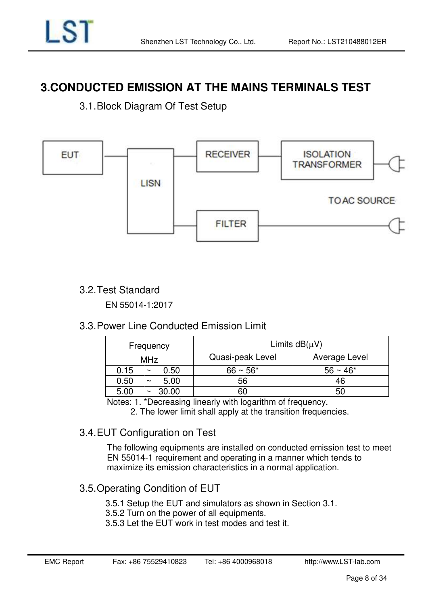# <span id="page-7-0"></span>**3.CONDUCTED EMISSION AT THE MAINS TERMINALS TEST**

<span id="page-7-1"></span>3.1. Block Diagram Of Test Setup



# <span id="page-7-2"></span>3.2. Test Standard

EN 55014-1:2017

### <span id="page-7-3"></span>3.3. Power Line Conducted Emission Limit

| Frequency               | Limits $dB(\mu V)$                |               |  |  |  |
|-------------------------|-----------------------------------|---------------|--|--|--|
| <b>MHz</b>              | Quasi-peak Level<br>Average Level |               |  |  |  |
| 0.50<br>0.15<br>$\sim$  | $66 \sim 56*$                     | $56 \sim 46*$ |  |  |  |
| 0.50<br>5.00<br>$\sim$  | 56                                | 46            |  |  |  |
| 30.00<br>5.00<br>$\sim$ | 60                                | 50            |  |  |  |

Notes: 1. \*Decreasing linearly with logarithm of frequency.

2. The lower limit shall apply at the transition frequencies.

# <span id="page-7-4"></span>3.4. EUT Configuration on Test

The following equipments are installed on conducted emission test to meet EN 55014-1 requirement and operating in a manner which tends to maximize its emission characteristics in a normal application.

# <span id="page-7-5"></span>3.5. Operating Condition of EUT

3.5.1 Setup the EUT and simulators as shown in Section 3.1.

3.5.2 Turn on the power of all equipments.

3.5.3 Let the EUT work in test modes and test it.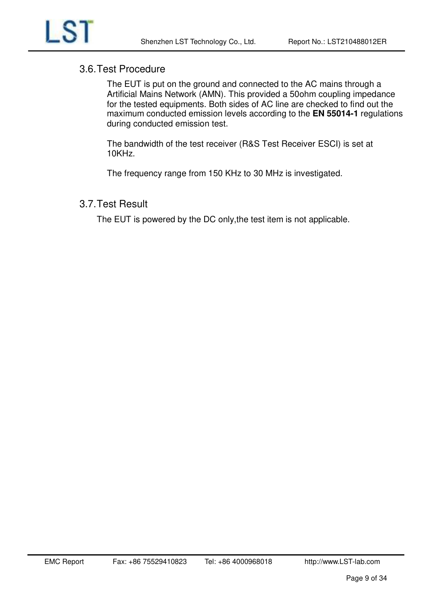

### <span id="page-8-0"></span>3.6. Test Procedure

The EUT is put on the ground and connected to the AC mains through a Artificial Mains Network (AMN). This provided a 50ohm coupling impedance for the tested equipments. Both sides of AC line are checked to find out the maximum conducted emission levels according to the **EN 55014-1** regulations during conducted emission test.

The bandwidth of the test receiver (R&S Test Receiver ESCI) is set at 10KHz.

The frequency range from 150 KHz to 30 MHz is investigated.

### <span id="page-8-1"></span>3.7. Test Result

The EUT is powered by the DC only,the test item is not applicable.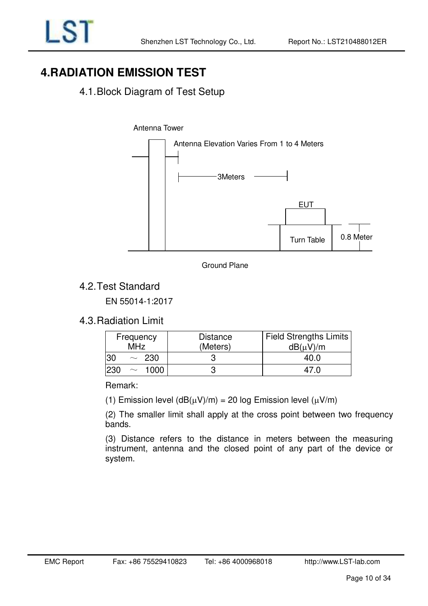# <span id="page-9-0"></span>**4.RADIATION EMISSION TEST**

# <span id="page-9-1"></span>4.1. Block Diagram of Test Setup







# <span id="page-9-2"></span>4.2. Test Standard

EN 55014-1:2017

### <span id="page-9-3"></span>4.3. Radiation Limit

| Frequency<br><b>MHz</b> |            | <b>Distance</b><br>(Meters) | <b>Field Strengths Limits</b><br>$dB(\mu V)/m$ |  |  |  |
|-------------------------|------------|-----------------------------|------------------------------------------------|--|--|--|
| 30                      | $\sim 230$ |                             | 40.0                                           |  |  |  |
| '230<br>$\sim$          | 1000.      |                             | 47 N                                           |  |  |  |

Remark:

(1) Emission level  $(dB(\mu V)/m) = 20$  log Emission level  $(\mu V/m)$ 

(2) The smaller limit shall apply at the cross point between two frequency bands.

(3) Distance refers to the distance in meters between the measuring instrument, antenna and the closed point of any part of the device or system.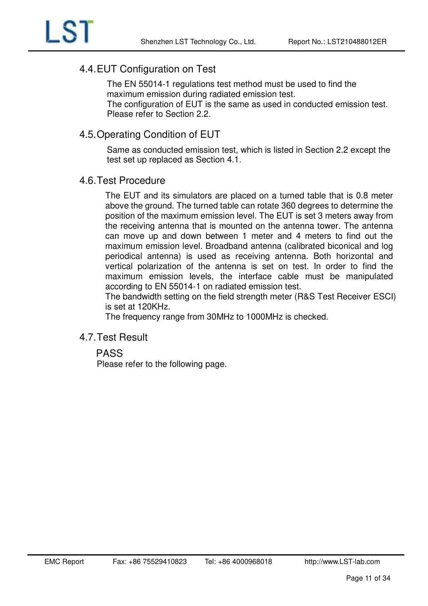# <span id="page-10-0"></span>4.4. EUT Configuration on Test

The EN 55014-1 regulations test method must be used to find the maximum emission during radiated emission test.

The configuration of EUT is the same as used in conducted emission test. Please refer to Section 2.2.

# <span id="page-10-1"></span>4.5. Operating Condition of EUT

Same as conducted emission test, which is listed in Section 2.2 except the test set up replaced as Section 4.1.

### <span id="page-10-2"></span>4.6. Test Procedure

The EUT and its simulators are placed on a turned table that is 0.8 meter above the ground. The turned table can rotate 360 degrees to determine the position of the maximum emission level. The EUT is set 3 meters away from the receiving antenna that is mounted on the antenna tower. The antenna can move up and down between 1 meter and 4 meters to find out the maximum emission level. Broadband antenna (calibrated biconical and log periodical antenna) is used as receiving antenna. Both horizontal and vertical polarization of the antenna is set on test. In order to find the maximum emission levels, the interface cable must be manipulated according to EN 55014-1 on radiated emission test.

The bandwidth setting on the field strength meter (R&S Test Receiver ESCI) is set at 120KHz.

The frequency range from 30MHz to 1000MHz is checked.

### <span id="page-10-3"></span>4.7. Test Result

### PASS

Please refer to the following page.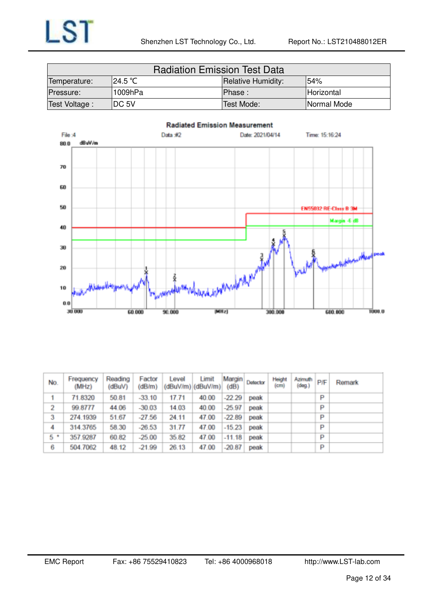| <b>Radiation Emission Test Data</b>                    |         |            |             |  |  |  |  |  |
|--------------------------------------------------------|---------|------------|-------------|--|--|--|--|--|
| 124.5 °C<br>154%<br>Temperature:<br>Relative Humidity: |         |            |             |  |  |  |  |  |
| Pressure:                                              | 1009hPa | IPhase:    | Horizontal  |  |  |  |  |  |
| Test Voltage:                                          | IDC 5V  | Test Mode: | Normal Mode |  |  |  |  |  |



| No.     | Frequency<br>(MHz) | Reading<br>(dBuV) | Factor<br>(dB/m) | Level | Limit<br>(dBuV/m)(dBuV/m)(dB) |          | Margin Detector | Height<br>(c <sub>m</sub> ) | $\left  \right $ Azimuth $\left  \right $ $\left  \right $ $\left  \right $<br>(deq.) |   | Remark |
|---------|--------------------|-------------------|------------------|-------|-------------------------------|----------|-----------------|-----------------------------|---------------------------------------------------------------------------------------|---|--------|
|         | 71.8320            | 50.81             | $-33.10$         | 17.71 | 40.00                         | $-22.29$ | peak            |                             |                                                                                       | P |        |
| 2       | 99.8777            | 44.06             | $-30.03$         | 14.03 | 40.00                         | $-25.97$ | peak            |                             |                                                                                       | P |        |
| 3       | 274.1939           | 51.67             | $-27.56$         | 24.11 | 47.00                         | $-22.89$ | peak            |                             |                                                                                       | P |        |
| 4       | 314.3765           | 58.30             | $-26.53$         | 31.77 | 47.00                         | $-15.23$ | peak            |                             |                                                                                       | P |        |
| $5$ $*$ | 357.9287           | 60.82             | $-25.00$         | 35.82 | 47.00                         | $-11.18$ | peak            |                             |                                                                                       | P |        |
| 6       | 504.7062           | 48.12             | $-21.99$         | 26.13 | 47.00                         | $-20.87$ | peak            |                             |                                                                                       | P |        |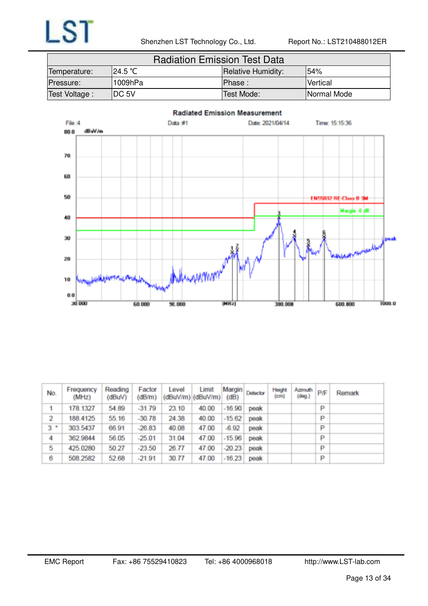| <b>Radiation Emission Test Data</b> |                                                    |            |             |  |  |
|-------------------------------------|----------------------------------------------------|------------|-------------|--|--|
| Temperature:                        | 124.5 ℃<br><b>54%</b><br><b>Relative Humidity:</b> |            |             |  |  |
| Pressure:                           | 1009hPa                                            | IPhase :   | Vertical    |  |  |
| Test Voltage:                       | IDC 5V                                             | Test Mode: | Normal Mode |  |  |



| No.            | Frequency<br>(MHz) | Reading<br>(dBuV) | Factor<br>(dB/m) | Level | Limit<br>$(dBuV/m)$ $(dBuV/m)$ $(dB)$ | Margin   | Detector | Height<br>(cm) | Azimuth<br>(dog.) | P/F | Remark |
|----------------|--------------------|-------------------|------------------|-------|---------------------------------------|----------|----------|----------------|-------------------|-----|--------|
|                | 178.1327           | 54.89             | $-31.79$         | 23.10 | 40.00                                 | $-16.90$ | peak     |                |                   | P   |        |
| 2              | 188.4125           | 55.16             | $-30.78$         | 24.38 | 40.00                                 | $-15.62$ | peak     |                |                   | P   |        |
| 3 <sup>1</sup> | 303.5437           | 66.91             | $-26.83$         | 40.08 | 47.00                                 | $-6.92$  | peak     |                |                   | P   |        |
| 4              | 362.9844           | 56.05             | $-25.01$         | 31.04 | 47.00                                 | $-15.96$ | peak     |                |                   | P   |        |
| 5              | 425.0280           | 50.27             | $-23.50$         | 26.77 | 47.00                                 | $-20.23$ | peak     |                |                   | P   |        |
| 6              | 508.2582           | 52.68             | $-21.91$         | 30.77 | 47.00                                 | $-16.23$ | peak     |                |                   | P   |        |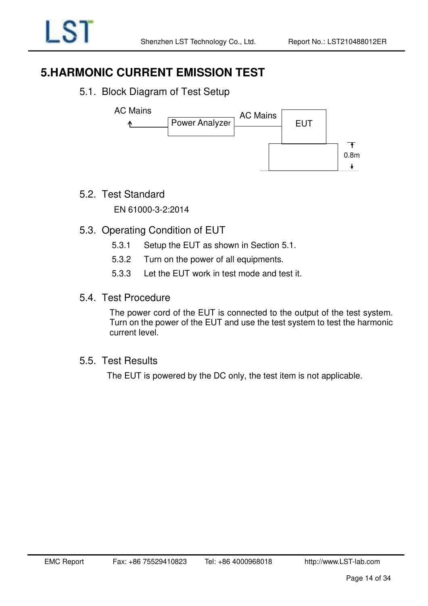# <span id="page-13-0"></span>**5.HARMONIC CURRENT EMISSION TEST**

5.1. Block Diagram of Test Setup

<span id="page-13-1"></span>

5.2. Test Standard

<span id="page-13-2"></span>EN 61000-3-2:2014

- <span id="page-13-3"></span>5.3. Operating Condition of EUT
	- 5.3.1 Setup the EUT as shown in Section 5.1.
	- 5.3.2 Turn on the power of all equipments.
	- 5.3.3 Let the EUT work in test mode and test it.
- 5.4. Test Procedure

<span id="page-13-4"></span>The power cord of the EUT is connected to the output of the test system. Turn on the power of the EUT and use the test system to test the harmonic current level.

5.5. Test Results

<span id="page-13-5"></span>The EUT is powered by the DC only, the test item is not applicable.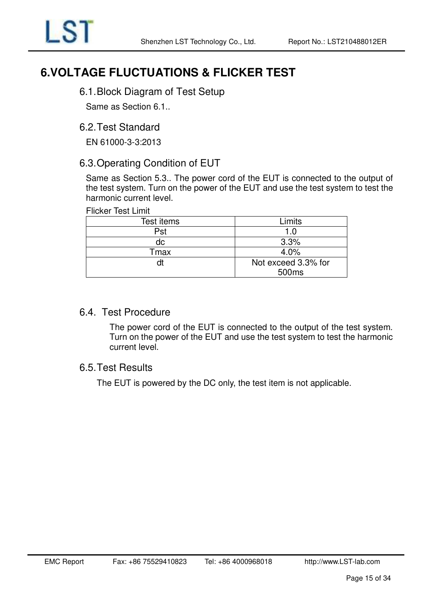

# <span id="page-14-0"></span>**6.VOLTAGE FLUCTUATIONS & FLICKER TEST**

### <span id="page-14-1"></span>6.1. Block Diagram of Test Setup

Same as Section 6.1..

### <span id="page-14-2"></span>6.2. Test Standard

EN 61000-3-3:2013

### <span id="page-14-3"></span>6.3. Operating Condition of EUT

Same as Section 5.3.. The power cord of the EUT is connected to the output of the test system. Turn on the power of the EUT and use the test system to test the harmonic current level.

#### Flicker Test Limit

| Test items | Limits              |
|------------|---------------------|
| Pst        | 1.0                 |
| dc         | 3.3%                |
| Tmax       | 4.0%                |
|            | Not exceed 3.3% for |
|            | 500 <sub>ms</sub>   |

### 6.4. Test Procedure

<span id="page-14-4"></span>The power cord of the EUT is connected to the output of the test system. Turn on the power of the EUT and use the test system to test the harmonic current level.

### <span id="page-14-5"></span>6.5. Test Results

The EUT is powered by the DC only, the test item is not applicable.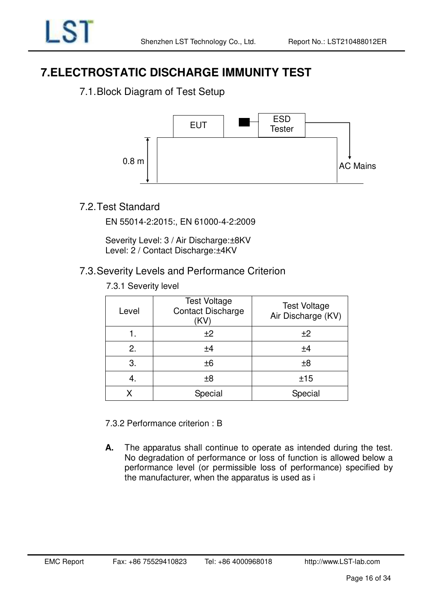# <span id="page-15-0"></span>**7.ELECTROSTATIC DISCHARGE IMMUNITY TEST**

# <span id="page-15-1"></span>7.1. Block Diagram of Test Setup



# <span id="page-15-2"></span>7.2. Test Standard

EN 55014-2:2015:, EN 61000-4-2:2009

Severity Level: 3 / Air Discharge:±8KV Level: 2 / Contact Discharge: ±4KV

### <span id="page-15-3"></span>7.3. Severity Levels and Performance Criterion

7.3.1 Severity level

| Level | <b>Test Voltage</b><br><b>Contact Discharge</b><br>(KV) | <b>Test Voltage</b><br>Air Discharge (KV) |
|-------|---------------------------------------------------------|-------------------------------------------|
|       | ±2                                                      | ±2                                        |
| 2.    | ±4                                                      | ±4                                        |
| 3.    | ±6                                                      | ±8                                        |
| 4.    | ±8                                                      | ±15                                       |
|       | Special                                                 | Special                                   |

7.3.2 Performance criterion : B

**A.** The apparatus shall continue to operate as intended during the test. No degradation of performance or loss of function is allowed below a performance level (or permissible loss of performance) specified by the manufacturer, when the apparatus is used as i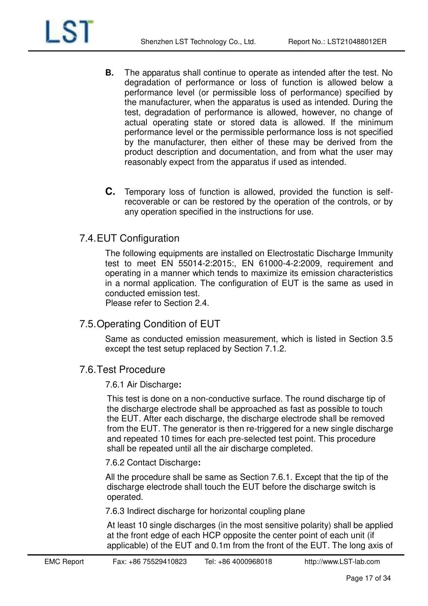

- **B.** The apparatus shall continue to operate as intended after the test. No degradation of performance or loss of function is allowed below a performance level (or permissible loss of performance) specified by the manufacturer, when the apparatus is used as intended. During the test, degradation of performance is allowed, however, no change of actual operating state or stored data is allowed. If the minimum performance level or the permissible performance loss is not specified by the manufacturer, then either of these may be derived from the product description and documentation, and from what the user may reasonably expect from the apparatus if used as intended.
- **C.** Temporary loss of function is allowed, provided the function is selfrecoverable or can be restored by the operation of the controls, or by any operation specified in the instructions for use.

### <span id="page-16-0"></span>7.4. EUT Configuration

The following equipments are installed on Electrostatic Discharge Immunity test to meet EN 55014-2:2015:, EN 61000-4-2:2009, requirement and operating in a manner which tends to maximize its emission characteristics in a normal application. The configuration of EUT is the same as used in conducted emission test.

Please refer to Section 2.4.

### <span id="page-16-1"></span>7.5. Operating Condition of EUT

Same as conducted emission measurement, which is listed in Section 3.5 except the test setup replaced by Section 7.1.2.

### <span id="page-16-2"></span>7.6. Test Procedure

#### 7.6.1 Air Discharge**:**

This test is done on a non-conductive surface. The round discharge tip of the discharge electrode shall be approached as fast as possible to touch the EUT. After each discharge, the discharge electrode shall be removed from the EUT. The generator is then re-triggered for a new single discharge and repeated 10 times for each pre-selected test point. This procedure shall be repeated until all the air discharge completed.

#### 7.6.2 Contact Discharge**:**

All the procedure shall be same as Section 7.6.1. Except that the tip of the discharge electrode shall touch the EUT before the discharge switch is operated.

7.6.3 Indirect discharge for horizontal coupling plane

At least 10 single discharges (in the most sensitive polarity) shall be applied at the front edge of each HCP opposite the center point of each unit (if applicable) of the EUT and 0.1m from the front of the EUT. The long axis of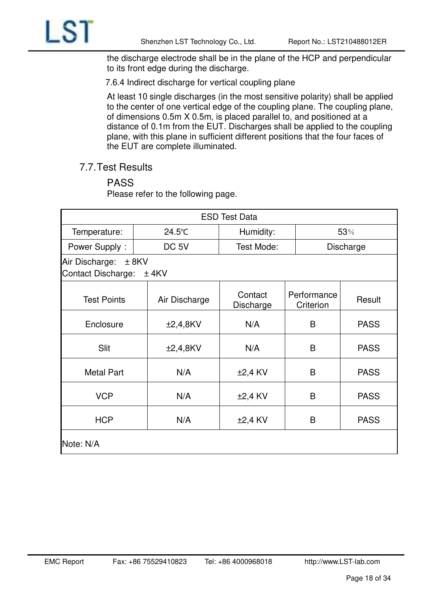

the discharge electrode shall be in the plane of the HCP and perpendicular to its front edge during the discharge.

7.6.4 Indirect discharge for vertical coupling plane

At least 10 single discharges (in the most sensitive polarity) shall be applied to the center of one vertical edge of the coupling plane. The coupling plane, of dimensions 0.5m X 0.5m, is placed parallel to, and positioned at a distance of 0.1m from the EUT. Discharges shall be applied to the coupling plane, with this plane in sufficient different positions that the four faces of the EUT are complete illuminated.

<span id="page-17-0"></span>7.7. Test Results

# PASS

Please refer to the following page.

| <b>ESD Test Data</b>                        |                     |                      |                          |             |  |
|---------------------------------------------|---------------------|----------------------|--------------------------|-------------|--|
| Temperature:                                | 24.5°C              | Humidity:            |                          | 53%         |  |
| Power Supply:                               | DC <sub>5V</sub>    | Test Mode:           |                          | Discharge   |  |
| Air Discharge:<br><b>Contact Discharge:</b> | $± 8$ KV<br>$±$ 4KV |                      |                          |             |  |
| <b>Test Points</b>                          | Air Discharge       | Contact<br>Discharge | Performance<br>Criterion | Result      |  |
| Enclosure                                   | $\pm 2,4,8$ KV      | N/A                  | B                        | <b>PASS</b> |  |
| Slit                                        | $\pm 2,4,8$ KV      | N/A                  | B                        | <b>PASS</b> |  |
| <b>Metal Part</b>                           | N/A                 | $±2,4$ KV            | B                        | <b>PASS</b> |  |
| <b>VCP</b>                                  | N/A                 | $±2,4$ KV            | B                        | <b>PASS</b> |  |
| <b>HCP</b>                                  | N/A                 | $±2,4$ KV            | B                        | <b>PASS</b> |  |
| Note: N/A                                   |                     |                      |                          |             |  |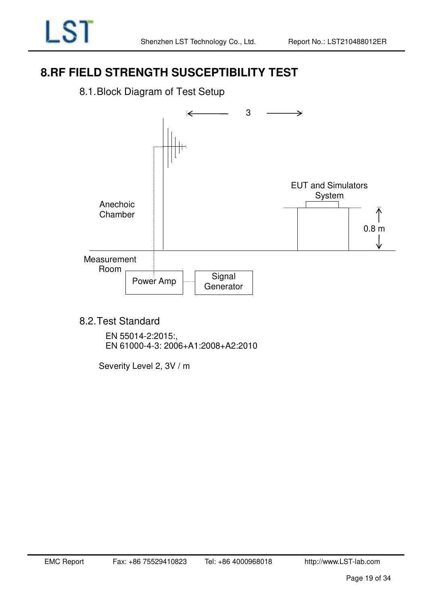# <span id="page-18-0"></span>**8.RF FIELD STRENGTH SUSCEPTIBILITY TEST**

<span id="page-18-1"></span>8.1. Block Diagram of Test Setup



<span id="page-18-2"></span>8.2. Test Standard

EN 55014-2:2015:, EN 61000-4-3: 2006+A1:2008+A2:2010

Severity Level 2, 3V / m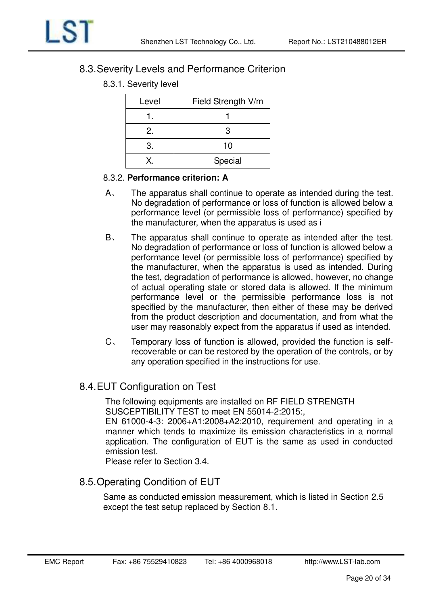

### <span id="page-19-0"></span>8.3. Severity Levels and Performance Criterion

8.3.1. Severity level

| Level | Field Strength V/m |
|-------|--------------------|
|       |                    |
| 2.    | З                  |
| 3.    | 10                 |
|       | Special            |

#### 8.3.2. **Performance criterion: A**

- A、 The apparatus shall continue to operate as intended during the test. No degradation of performance or loss of function is allowed below a performance level (or permissible loss of performance) specified by the manufacturer, when the apparatus is used as i
- B、 The apparatus shall continue to operate as intended after the test. No degradation of performance or loss of function is allowed below a performance level (or permissible loss of performance) specified by the manufacturer, when the apparatus is used as intended. During the test, degradation of performance is allowed, however, no change of actual operating state or stored data is allowed. If the minimum performance level or the permissible performance loss is not specified by the manufacturer, then either of these may be derived from the product description and documentation, and from what the user may reasonably expect from the apparatus if used as intended.
- C、 Temporary loss of function is allowed, provided the function is selfrecoverable or can be restored by the operation of the controls, or by any operation specified in the instructions for use.

### <span id="page-19-1"></span>8.4. EUT Configuration on Test

The following equipments are installed on RF FIELD STRENGTH SUSCEPTIBILITY TEST to meet EN 55014-2:2015:,

EN 61000-4-3: 2006+A1:2008+A2:2010, requirement and operating in a manner which tends to maximize its emission characteristics in a normal application. The configuration of EUT is the same as used in conducted emission test.

Please refer to Section 3.4.

<span id="page-19-2"></span>8.5. Operating Condition of EUT

Same as conducted emission measurement, which is listed in Section 2.5 except the test setup replaced by Section 8.1.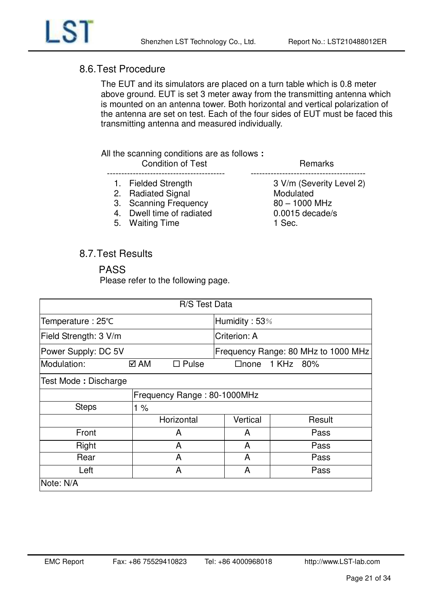

### <span id="page-20-0"></span>8.6. Test Procedure

The EUT and its simulators are placed on a turn table which is 0.8 meter above ground. EUT is set 3 meter away from the transmitting antenna which is mounted on an antenna tower. Both horizontal and vertical polarization of the antenna are set on test. Each of the four sides of EUT must be faced this transmitting antenna and measured individually.

#### All the scanning conditions are as follows **:**

| <b>Condition of Test</b>  | Remarks                  |
|---------------------------|--------------------------|
| 1. Fielded Strength       | 3 V/m (Severity Level 2) |
| 2. Radiated Signal        | Modulated                |
| 3. Scanning Frequency     | $80 - 1000$ MHz          |
| 4. Dwell time of radiated | $0.0015$ decade/s        |
| 5. Waiting Time           | 1 Sec.                   |

### <span id="page-20-1"></span>8.7. Test Results

#### PASS

Please refer to the following page.

| R/S Test Data         |                             |               |                                     |  |  |
|-----------------------|-----------------------------|---------------|-------------------------------------|--|--|
| Temperature: 25°C     |                             | Humidity: 53% |                                     |  |  |
| Field Strength: 3 V/m |                             | Criterion: A  |                                     |  |  |
| Power Supply: DC 5V   |                             |               | Frequency Range: 80 MHz to 1000 MHz |  |  |
| Modulation:           | $\square$ Pulse<br>⊠ AM     | $\Box$ none   | 1 KHz 80%                           |  |  |
| Test Mode: Discharge  |                             |               |                                     |  |  |
|                       | Frequency Range: 80-1000MHz |               |                                     |  |  |
| <b>Steps</b>          | 1%                          |               |                                     |  |  |
|                       | Horizontal                  | Vertical      | Result                              |  |  |
| Front                 | A                           | A             | Pass                                |  |  |
| Right                 | A                           | A             | Pass                                |  |  |
| Rear                  | A                           | A             | Pass                                |  |  |
| Left                  | A                           | A             | Pass                                |  |  |
| Note: N/A             |                             |               |                                     |  |  |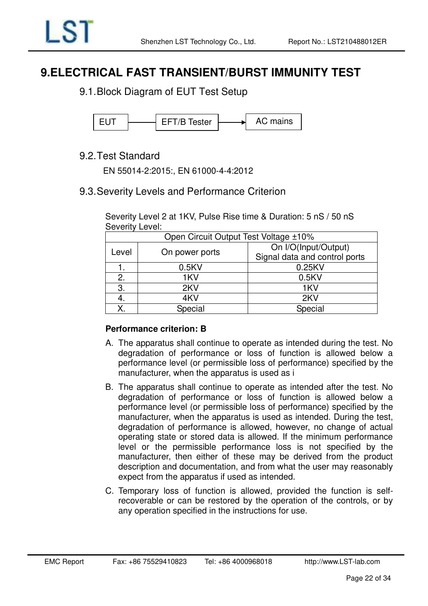# <span id="page-21-0"></span>**9.ELECTRICAL FAST TRANSIENT/BURST IMMUNITY TEST**

<span id="page-21-1"></span>9.1. Block Diagram of EUT Test Setup



### <span id="page-21-2"></span>9.2. Test Standard

EN 55014-2:2015:, EN 61000-4-4:2012

### <span id="page-21-3"></span>9.3. Severity Levels and Performance Criterion

Severity Level 2 at 1KV, Pulse Rise time & Duration: 5 nS / 50 nS Severity Level:

| Open Circuit Output Test Voltage ±10% |                |                               |  |  |
|---------------------------------------|----------------|-------------------------------|--|--|
|                                       |                | On I/O(Input/Output)          |  |  |
| Level                                 | On power ports | Signal data and control ports |  |  |
|                                       | 0.5KV          | 0.25KV                        |  |  |
| 2.                                    | 1KV            | 0.5KV                         |  |  |
| 3.                                    | 2KV            | 1KV                           |  |  |
| 4.                                    | 4KV            | 2KV                           |  |  |
| Χ.                                    | Special        | Special                       |  |  |

#### **Performance criterion: B**

- A. The apparatus shall continue to operate as intended during the test. No degradation of performance or loss of function is allowed below a performance level (or permissible loss of performance) specified by the manufacturer, when the apparatus is used as i
- B. The apparatus shall continue to operate as intended after the test. No degradation of performance or loss of function is allowed below a performance level (or permissible loss of performance) specified by the manufacturer, when the apparatus is used as intended. During the test, degradation of performance is allowed, however, no change of actual operating state or stored data is allowed. If the minimum performance level or the permissible performance loss is not specified by the manufacturer, then either of these may be derived from the product description and documentation, and from what the user may reasonably expect from the apparatus if used as intended.
- C. Temporary loss of function is allowed, provided the function is selfrecoverable or can be restored by the operation of the controls, or by any operation specified in the instructions for use.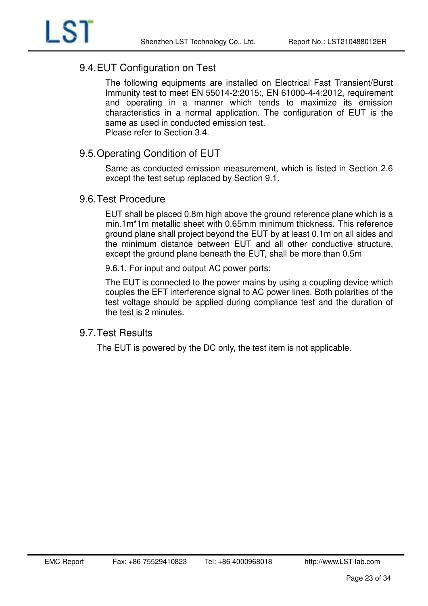

### <span id="page-22-0"></span>9.4. EUT Configuration on Test

The following equipments are installed on Electrical Fast Transient/Burst Immunity test to meet EN 55014-2:2015:, EN 61000-4-4:2012, requirement and operating in a manner which tends to maximize its emission characteristics in a normal application. The configuration of EUT is the same as used in conducted emission test. Please refer to Section 3.4.

### <span id="page-22-1"></span>9.5. Operating Condition of EUT

Same as conducted emission measurement, which is listed in Section 2.6 except the test setup replaced by Section 9.1.

### <span id="page-22-2"></span>9.6. Test Procedure

EUT shall be placed 0.8m high above the ground reference plane which is a min.1m\*1m metallic sheet with 0.65mm minimum thickness. This reference ground plane shall project beyond the EUT by at least 0.1m on all sides and the minimum distance between EUT and all other conductive structure, except the ground plane beneath the EUT, shall be more than 0.5m

9.6.1. For input and output AC power ports:

The EUT is connected to the power mains by using a coupling device which couples the EFT interference signal to AC power lines. Both polarities of the test voltage should be applied during compliance test and the duration of the test is 2 minutes.

### <span id="page-22-3"></span>9.7. Test Results

The EUT is powered by the DC only, the test item is not applicable.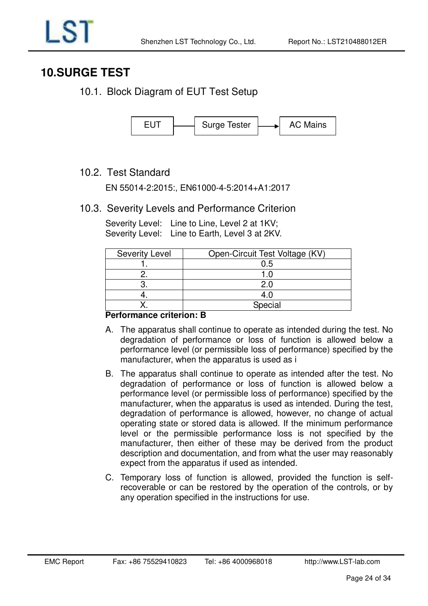# <span id="page-23-0"></span>**10.SURGE TEST**

<span id="page-23-1"></span>10.1. Block Diagram of EUT Test Setup



### <span id="page-23-2"></span>10.2. Test Standard

EN 55014-2:2015:, EN61000-4-5:2014+A1:2017

### <span id="page-23-3"></span>10.3. Severity Levels and Performance Criterion

Severity Level: Line to Line, Level 2 at 1KV; Severity Level: Line to Earth, Level 3 at 2KV.

| <b>Severity Level</b> | Open-Circuit Test Voltage (KV) |
|-----------------------|--------------------------------|
|                       | 0.5                            |
|                       |                                |
|                       | 2.0                            |
|                       | 4.O                            |
|                       | Special                        |

#### **Performance criterion: B**

- A. The apparatus shall continue to operate as intended during the test. No degradation of performance or loss of function is allowed below a performance level (or permissible loss of performance) specified by the manufacturer, when the apparatus is used as i
- B. The apparatus shall continue to operate as intended after the test. No degradation of performance or loss of function is allowed below a performance level (or permissible loss of performance) specified by the manufacturer, when the apparatus is used as intended. During the test, degradation of performance is allowed, however, no change of actual operating state or stored data is allowed. If the minimum performance level or the permissible performance loss is not specified by the manufacturer, then either of these may be derived from the product description and documentation, and from what the user may reasonably expect from the apparatus if used as intended.
- C. Temporary loss of function is allowed, provided the function is selfrecoverable or can be restored by the operation of the controls, or by any operation specified in the instructions for use.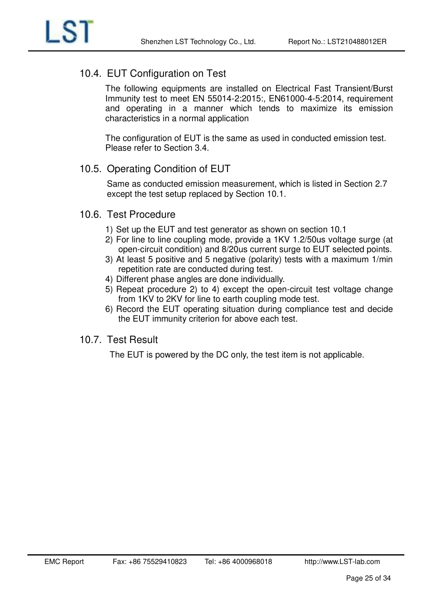

### <span id="page-24-0"></span>10.4. EUT Configuration on Test

The following equipments are installed on Electrical Fast Transient/Burst Immunity test to meet EN 55014-2:2015:, EN61000-4-5:2014, requirement and operating in a manner which tends to maximize its emission characteristics in a normal application

The configuration of EUT is the same as used in conducted emission test. Please refer to Section 3.4.

### <span id="page-24-1"></span>10.5. Operating Condition of EUT

Same as conducted emission measurement, which is listed in Section 2.7 except the test setup replaced by Section 10.1.

### <span id="page-24-2"></span>10.6. Test Procedure

- 1) Set up the EUT and test generator as shown on section 10.1
- 2) For line to line coupling mode, provide a 1KV 1.2/50us voltage surge (at open-circuit condition) and 8/20us current surge to EUT selected points.
- 3) At least 5 positive and 5 negative (polarity) tests with a maximum 1/min repetition rate are conducted during test.
- 4) Different phase angles are done individually.
- 5) Repeat procedure 2) to 4) except the open-circuit test voltage change from 1KV to 2KV for line to earth coupling mode test.
- 6) Record the EUT operating situation during compliance test and decide the EUT immunity criterion for above each test.

### <span id="page-24-3"></span>10.7. Test Result

The EUT is powered by the DC only, the test item is not applicable.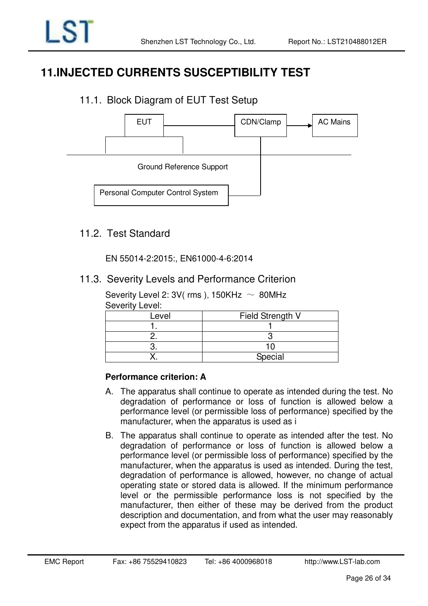# <span id="page-25-0"></span>**11.INJECTED CURRENTS SUSCEPTIBILITY TEST**

# <span id="page-25-1"></span>11.1. Block Diagram of EUT Test Setup



### <span id="page-25-2"></span>11.2. Test Standard

EN 55014-2:2015:, EN61000-4-6:2014

### <span id="page-25-3"></span>11.3. Severity Levels and Performance Criterion

Severity Level 2: 3V( rms ), 150KHz  $\sim$  80MHz Severity Level:

| Level | Field Strength V |
|-------|------------------|
|       |                  |
|       |                  |
|       |                  |
|       | Special          |

### **Performance criterion: A**

- A. The apparatus shall continue to operate as intended during the test. No degradation of performance or loss of function is allowed below a performance level (or permissible loss of performance) specified by the manufacturer, when the apparatus is used as i
- B. The apparatus shall continue to operate as intended after the test. No degradation of performance or loss of function is allowed below a performance level (or permissible loss of performance) specified by the manufacturer, when the apparatus is used as intended. During the test, degradation of performance is allowed, however, no change of actual operating state or stored data is allowed. If the minimum performance level or the permissible performance loss is not specified by the manufacturer, then either of these may be derived from the product description and documentation, and from what the user may reasonably expect from the apparatus if used as intended.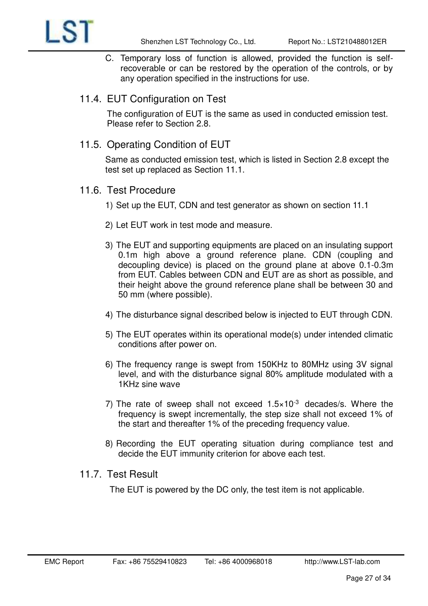

- C. Temporary loss of function is allowed, provided the function is selfrecoverable or can be restored by the operation of the controls, or by any operation specified in the instructions for use.
- <span id="page-26-0"></span>11.4. EUT Configuration on Test

The configuration of EUT is the same as used in conducted emission test. Please refer to Section 2.8.

<span id="page-26-1"></span>11.5. Operating Condition of EUT

Same as conducted emission test, which is listed in Section 2.8 except the test set up replaced as Section 11.1.

- <span id="page-26-2"></span>11.6. Test Procedure
	- 1) Set up the EUT, CDN and test generator as shown on section 11.1
	- 2) Let EUT work in test mode and measure.
	- 3) The EUT and supporting equipments are placed on an insulating support 0.1m high above a ground reference plane. CDN (coupling and decoupling device) is placed on the ground plane at above 0.1-0.3m from EUT. Cables between CDN and EUT are as short as possible, and their height above the ground reference plane shall be between 30 and 50 mm (where possible).
	- 4) The disturbance signal described below is injected to EUT through CDN.
	- 5) The EUT operates within its operational mode(s) under intended climatic conditions after power on.
	- 6) The frequency range is swept from 150KHz to 80MHz using 3V signal level, and with the disturbance signal 80% amplitude modulated with a 1KHz sine wave
	- 7) The rate of sweep shall not exceed  $1.5 \times 10^{-3}$  decades/s. Where the frequency is swept incrementally, the step size shall not exceed 1% of the start and thereafter 1% of the preceding frequency value.
	- 8) Recording the EUT operating situation during compliance test and decide the EUT immunity criterion for above each test.

### <span id="page-26-3"></span>11.7. Test Result

The EUT is powered by the DC only, the test item is not applicable.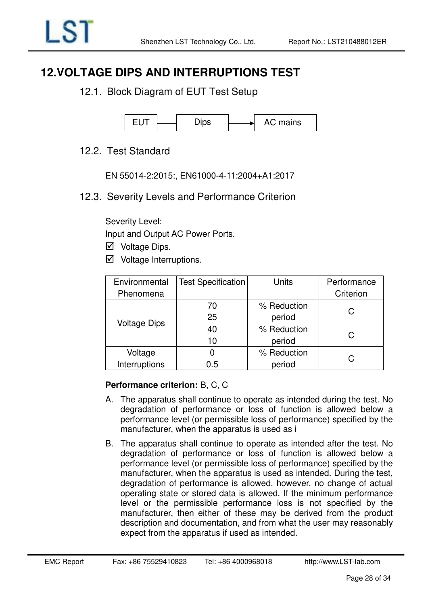# <span id="page-27-0"></span>**12.VOLTAGE DIPS AND INTERRUPTIONS TEST**

<span id="page-27-1"></span>12.1. Block Diagram of EUT Test Setup



### <span id="page-27-2"></span>12.2. Test Standard

EN 55014-2:2015:, EN61000-4-11:2004+A1:2017

<span id="page-27-3"></span>12.3. Severity Levels and Performance Criterion

Severity Level:

Input and Output AC Power Ports.

- $\nabla$  Voltage Dips.
- $\boxtimes$  Voltage Interruptions.

| Environmental       | <b>Test Specification</b> | Units       | Performance |
|---------------------|---------------------------|-------------|-------------|
| Phenomena           |                           |             | Criterion   |
|                     | 70                        | % Reduction |             |
| <b>Voltage Dips</b> | 25                        | period      | С           |
|                     | 40                        | % Reduction | C           |
|                     | 10                        | period      |             |
| Voltage             |                           | % Reduction |             |
| Interruptions       | 0.5                       | period      | C           |

### **Performance criterion:** B, C, C

- A. The apparatus shall continue to operate as intended during the test. No degradation of performance or loss of function is allowed below a performance level (or permissible loss of performance) specified by the manufacturer, when the apparatus is used as i
- B. The apparatus shall continue to operate as intended after the test. No degradation of performance or loss of function is allowed below a performance level (or permissible loss of performance) specified by the manufacturer, when the apparatus is used as intended. During the test, degradation of performance is allowed, however, no change of actual operating state or stored data is allowed. If the minimum performance level or the permissible performance loss is not specified by the manufacturer, then either of these may be derived from the product description and documentation, and from what the user may reasonably expect from the apparatus if used as intended.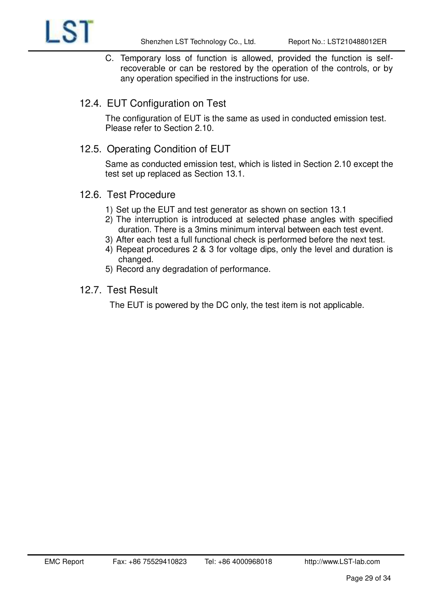C. Temporary loss of function is allowed, provided the function is selfrecoverable or can be restored by the operation of the controls, or by any operation specified in the instructions for use.

### <span id="page-28-0"></span>12.4. EUT Configuration on Test

The configuration of EUT is the same as used in conducted emission test. Please refer to Section 2.10.

### <span id="page-28-1"></span>12.5. Operating Condition of EUT

Same as conducted emission test, which is listed in Section 2.10 except the test set up replaced as Section 13.1.

### <span id="page-28-2"></span>12.6. Test Procedure

LS1

- 1) Set up the EUT and test generator as shown on section 13.1
- 2) The interruption is introduced at selected phase angles with specified duration. There is a 3mins minimum interval between each test event.
- 3) After each test a full functional check is performed before the next test.
- 4) Repeat procedures 2 & 3 for voltage dips, only the level and duration is changed.
- 5) Record any degradation of performance.

#### <span id="page-28-3"></span>12.7. Test Result

The EUT is powered by the DC only, the test item is not applicable.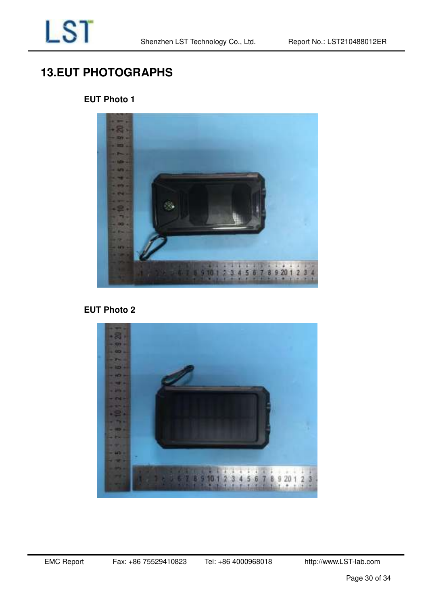# <span id="page-29-0"></span>**13.EUT PHOTOGRAPHS**

### **EUT Photo 1**



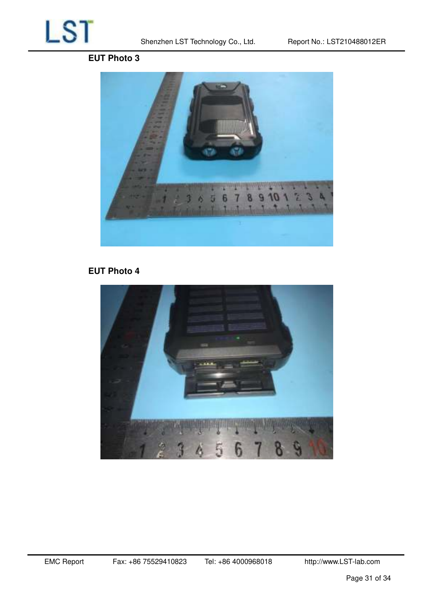

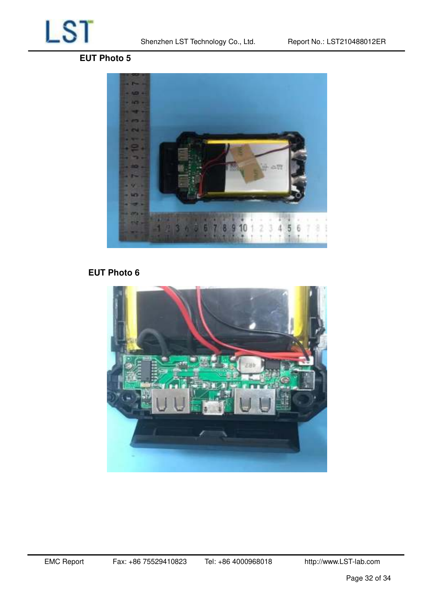

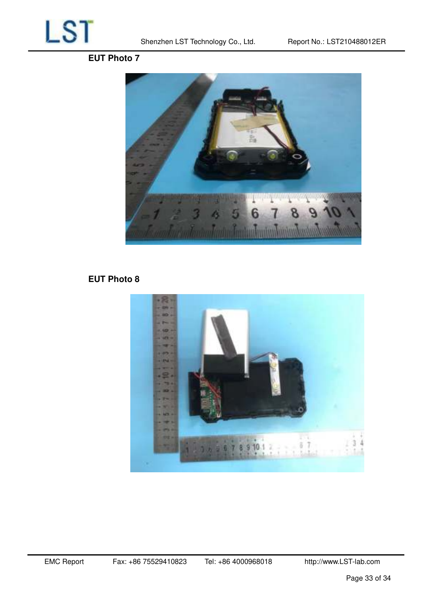